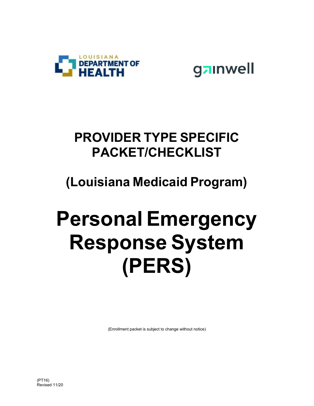

gainwell

## **PROVIDER TYPE SPECIFIC PACKET/CHECKLIST**

## **(Louisiana Medicaid Program)**

# **Personal Emergency Response System (PERS)**

(Enrollment packet is subject to change without notice)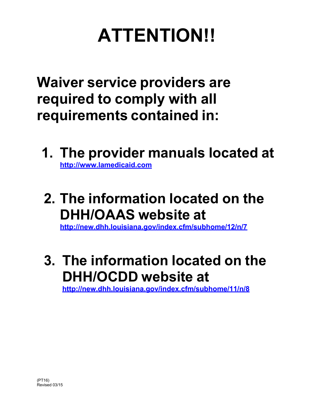## **ATTENTION!!**

**Waiver service providers are required to comply with all requirements contained in:**

- **1. The provider manuals located at [http://www.lamedicaid.com](http://www.lamedicaid.com/)**
- **2. The information located on the DHH/OAAS website at**

**<http://new.dhh.louisiana.gov/index.cfm/subhome/12/n/7>**

**3. The information located on the DHH/OCDD website at**

**<http://new.dhh.louisiana.gov/index.cfm/subhome/11/n/8>**